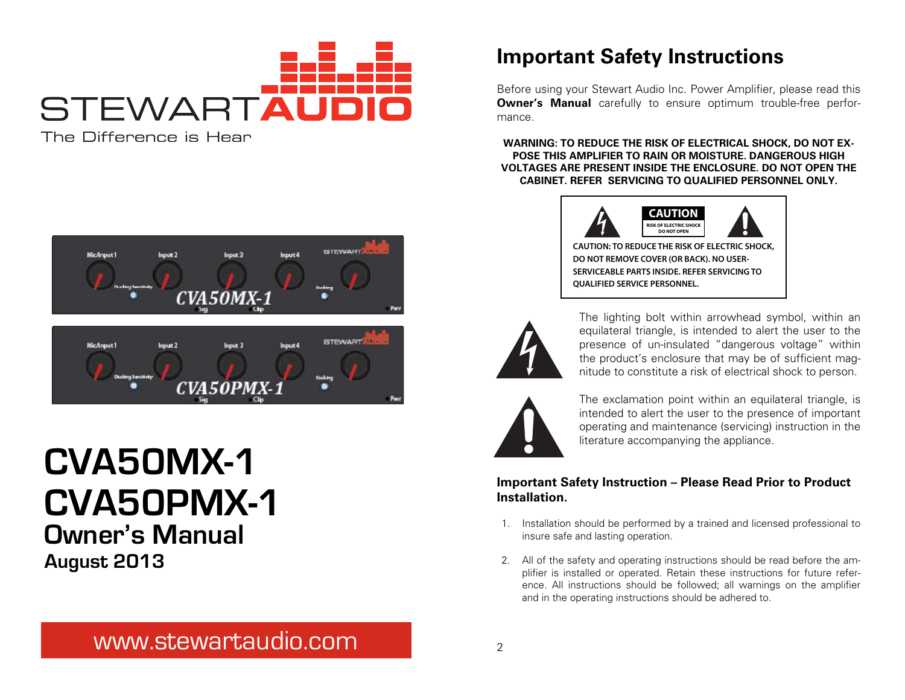

The Difference is Hear



# **CVA50PMX-1 Owner's Manual August 2013 CVA50MX-1**

# **Important Safety Instructions**

Before using your Stewart Audio Inc. Power Amplifier, please read this **Owner's Manual** carefully to ensure optimum trouble-free performance.

**WARNING: TO REDUCE THE RISK OF ELECTRICAL SHOCK, DO NOT EX-POSE THIS AMPLIFIER TO RAIN OR MOISTURE. DANGEROUS HIGH VOLTAGES ARE PRESENT INSIDE THE ENCLOSURE. DO NOT OPEN THE CABINET. REFER SERVICING TO QUALIFIED PERSONNEL ONLY.**



**CAUTION: TO REDUCE THE RISK OF ELECTRIC SHOCK, DO NOT REMOVE COVER (OR BACK). NO USER-SERVICEABLE PARTS INSIDE. REFER SERVICING TO QUALIFIED SERVICE PERSONNEL.**



The lighting bolt within arrowhead symbol, within an equilateral triangle, is intended to alert the user to the presence of un-insulated "dangerous voltage" within the product's enclosure that may be of sufficient magnitude to constitute a risk of electrical shock to person.



The exclamation point within an equilateral triangle, is intended to alert the user to the presence of important operating and maintenance (servicing) instruction in the literature accompanying the appliance.

#### **Important Safety Instruction – Please Read Prior to Product Installation.**

- 1. Installation should be performed by a trained and licensed professional to insure safe and lasting operation.
- 2. All of the safety and operating instructions should be read before the amplifier is installed or operated. Retain these instructions for future reference. All instructions should be followed; all warnings on the amplifier and in the operating instructions should be adhered to.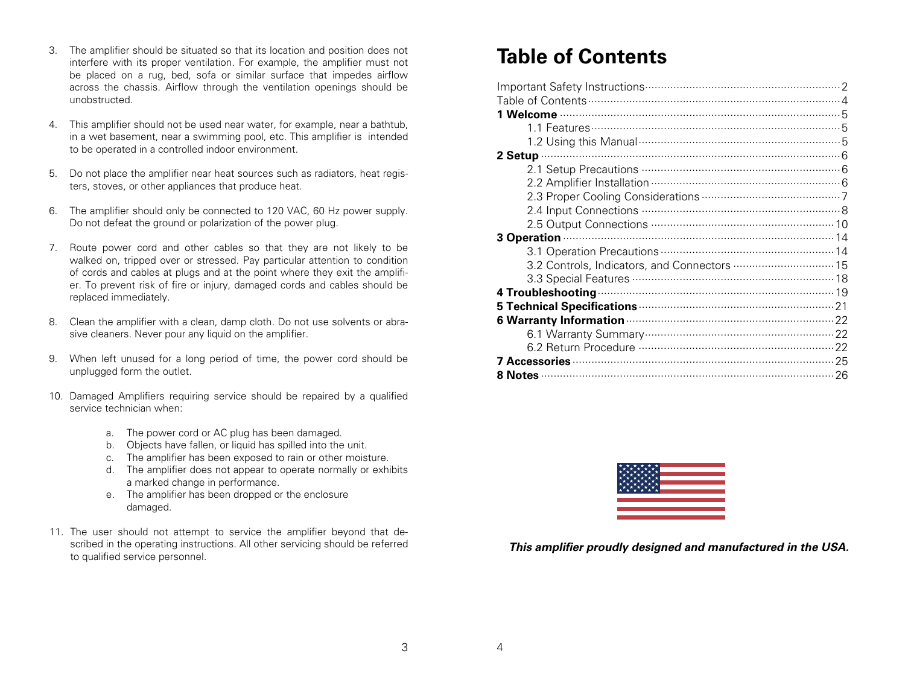- 3. The amplifier should be situated so that its location and position does not interfere with its proper ventilation. For example, the amplifier must not be placed on a rug, bed, sofa or similar surface that impedes airflow across the chassis. Airflow through the ventilation openings should be unobstructed.
- 4. This amplifier should not be used near water, for example, near a bathtub, in a wet basement, near a swimming pool, etc. This amplifier is intended to be operated in a controlled indoor environment.
- 5. Do not place the amplifier near heat sources such as radiators, heat registers, stoves, or other appliances that produce heat.
- 6. The amplifier should only be connected to 120 VAC, 60 Hz power supply. Do not defeat the ground or polarization of the power plug.
- 7. Route power cord and other cables so that they are not likely to be walked on, tripped over or stressed. Pay particular attention to condition of cords and cables at plugs and at the point where they exit the amplifier. To prevent risk of fire or injury, damaged cords and cables should be replaced immediately.
- 8. Clean the amplifier with a clean, damp cloth. Do not use solvents or abrasive cleaners. Never pour any liquid on the amplifier.
- 9. When left unused for a long period of time, the power cord should be unplugged form the outlet.
- 10. Damaged Amplifiers requiring service should be repaired by a qualified service technician when:
	- a. The power cord or AC plug has been damaged.
	- b. Objects have fallen, or liquid has spilled into the unit.
	- c. The amplifier has been exposed to rain or other moisture.
	- d. The amplifier does not appear to operate normally or exhibits a marked change in performance.
	- e. The amplifier has been dropped or the enclosure damaged.
- 11. The user should not attempt to service the amplifier beyond that described in the operating instructions. All other servicing should be referred to qualified service personnel.

# **Table of Contents**

| 3.2 Controls, Indicators, and Connectors  15  |
|-----------------------------------------------|
|                                               |
|                                               |
|                                               |
| 6 Warranty Information <b>Constitution</b> 22 |
|                                               |
|                                               |
|                                               |
| 8 Notes 26                                    |



**This amplifier proudly designed and manufactured in the USA.**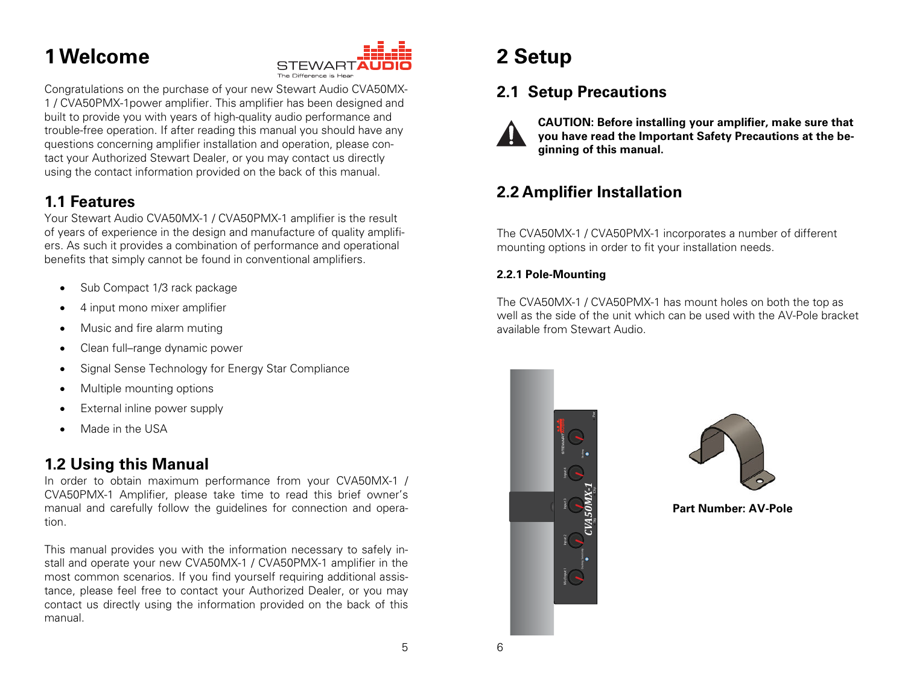# **1 Welcome**



Congratulations on the purchase of your new Stewart Audio CVA50MX-1 / CVA50PMX-1power amplifier. This amplifier has been designed and built to provide you with years of high-quality audio performance and trouble-free operation. If after reading this manual you should have any questions concerning amplifier installation and operation, please contact your Authorized Stewart Dealer, or you may contact us directly using the contact information provided on the back of this manual.

## **1.1 Features**

Your Stewart Audio CVA50MX-1 / CVA50PMX-1 amplifier is the result of years of experience in the design and manufacture of quality amplifiers. As such it provides a combination of performance and operational benefits that simply cannot be found in conventional amplifiers.

- Sub Compact 1/3 rack package
- 4 input mono mixer amplifier Ī
- Music and fire alarm muting
- Clean full–range dynamic power
- Signal Sense Technology for Energy Star Compliance
- Multiple mounting options
- External inline power supply
- Made in the USA

## **1.2 Using this Manual**

In order to obtain maximum performance from your CVA50MX-1 / CVA50PMX-1 Amplifier, please take time to read this brief owner's manual and carefully follow the guidelines for connection and operation.

This manual provides you with the information necessary to safely install and operate your new CVA50MX-1 / CVA50PMX-1 amplifier in the most common scenarios. If you find yourself requiring additional assistance, please feel free to contact your Authorized Dealer, or you may contact us directly using the information provided on the back of this manual.

# **2 Setup**

# **2.1 Setup Precautions**



**CAUTION: Before installing your amplifier, make sure that you have read the Important Safety Precautions at the beginning of this manual.** 

## **2.2 Amplifier Installation**

The CVA50MX-1 / CVA50PMX-1 incorporates a number of different mounting options in order to fit your installation needs.

### **2.2.1 Pole-Mounting**

The CVA50MX-1 / CVA50PMX-1 has mount holes on both the top as well as the side of the unit which can be used with the AV-Pole bracket available from Stewart Audio.





**Part Number: AV-Pole**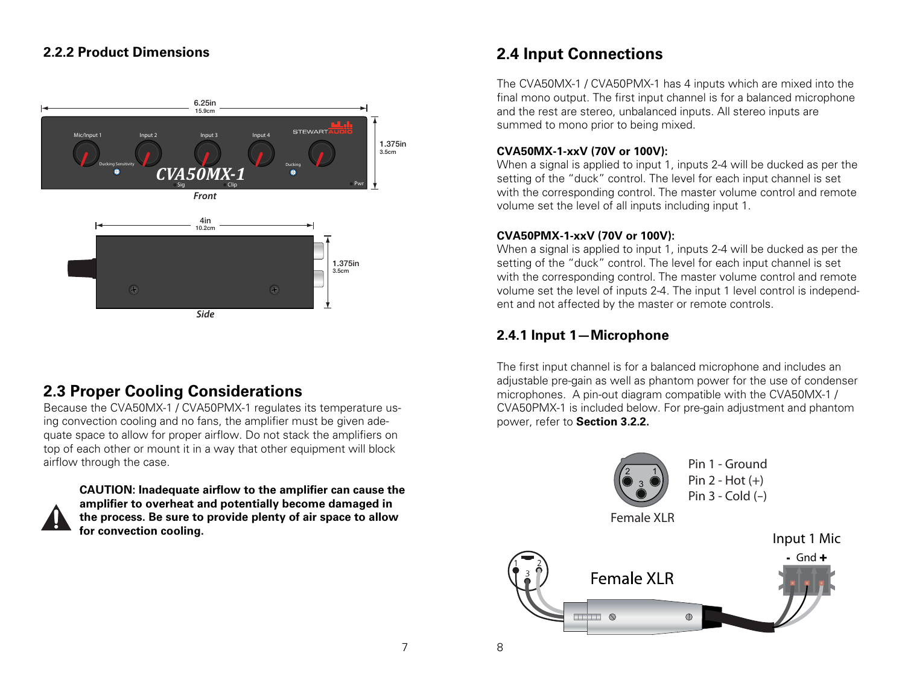#### **2.2.2 Product Dimensions**



## **2.3 Proper Cooling Considerations**

Because the CVA50MX-1 / CVA50PMX-1 regulates its temperature using convection cooling and no fans, the amplifier must be given adequate space to allow for proper airflow. Do not stack the amplifiers on top of each other or mount it in a way that other equipment will block airflow through the case.



**CAUTION: Inadequate airflow to the amplifier can cause the amplifier to overheat and potentially become damaged in the process. Be sure to provide plenty of air space to allow for convection cooling.** 

## **2.4 Input Connections**

The CVA50MX-1 / CVA50PMX-1 has 4 inputs which are mixed into the final mono output. The first input channel is for a balanced microphone and the rest are stereo, unbalanced inputs. All stereo inputs are summed to mono prior to being mixed.

#### **CVA50MX-1-xxV (70V or 100V):**

When a signal is applied to input 1, inputs 2-4 will be ducked as per the setting of the "duck" control. The level for each input channel is set with the corresponding control. The master volume control and remote volume set the level of all inputs including input 1.

#### **CVA50PMX-1-xxV (70V or 100V):**

When a signal is applied to input 1, inputs 2-4 will be ducked as per the setting of the "duck" control. The level for each input channel is set with the corresponding control. The master volume control and remote volume set the level of inputs 2-4. The input 1 level control is independent and not affected by the master or remote controls.

## **2.4.1 Input 1—Microphone**

The first input channel is for a balanced microphone and includes an adjustable pre-gain as well as phantom power for the use of condenser microphones. A pin-out diagram compatible with the CVA50MX-1 / CVA50PMX-1 is included below. For pre-gain adjustment and phantom power, refer to **Section 3.2.2.**

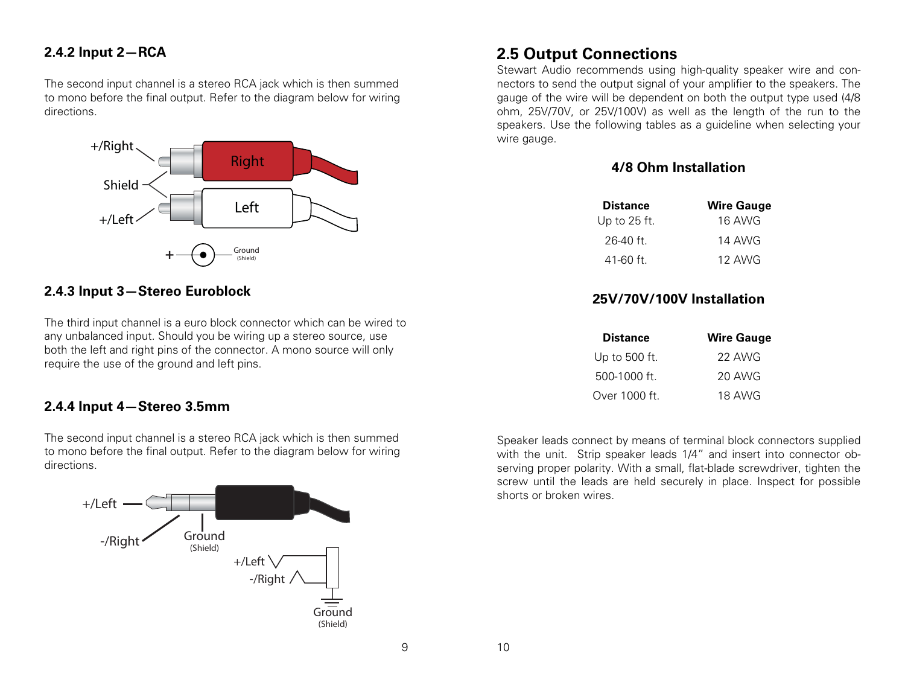#### **2.4.2 Input 2—RCA**

The second input channel is a stereo RCA jack which is then summed to mono before the final output. Refer to the diagram below for wiring directions.



#### **2.4.3 Input 3—Stereo Euroblock**

The third input channel is a euro block connector which can be wired to any unbalanced input. Should you be wiring up a stereo source, use both the left and right pins of the connector. A mono source will only require the use of the ground and left pins.

#### **2.4.4 Input 4—Stereo 3.5mm**

The second input channel is a stereo RCA jack which is then summed to mono before the final output. Refer to the diagram below for wiring directions.



## **2.5 Output Connections**

Stewart Audio recommends using high-quality speaker wire and connectors to send the output signal of your amplifier to the speakers. The gauge of the wire will be dependent on both the output type used (4/8 ohm, 25V/70V, or 25V/100V) as well as the length of the run to the speakers. Use the following tables as a guideline when selecting your wire gauge.

#### **4/8 Ohm Installation**

| <b>Distance</b> | <b>Wire Gauge</b> |
|-----------------|-------------------|
| Up to $25$ ft.  | 16 AWG            |
| $26-40$ ft.     | 14 AWG            |
| $41 - 60$ ft.   | 12 AWG            |

#### **25V/70V/100V Installation**

| <b>Distance</b> | <b>Wire Gauge</b> |
|-----------------|-------------------|
| Up to 500 ft.   | 22 AWG            |
| $500-1000$ ft.  | 20 AWG            |
| Over 1000 ft.   | 18 AWG            |

Speaker leads connect by means of terminal block connectors supplied with the unit. Strip speaker leads 1/4" and insert into connector observing proper polarity. With a small, flat-blade screwdriver, tighten the screw until the leads are held securely in place. Inspect for possible shorts or broken wires.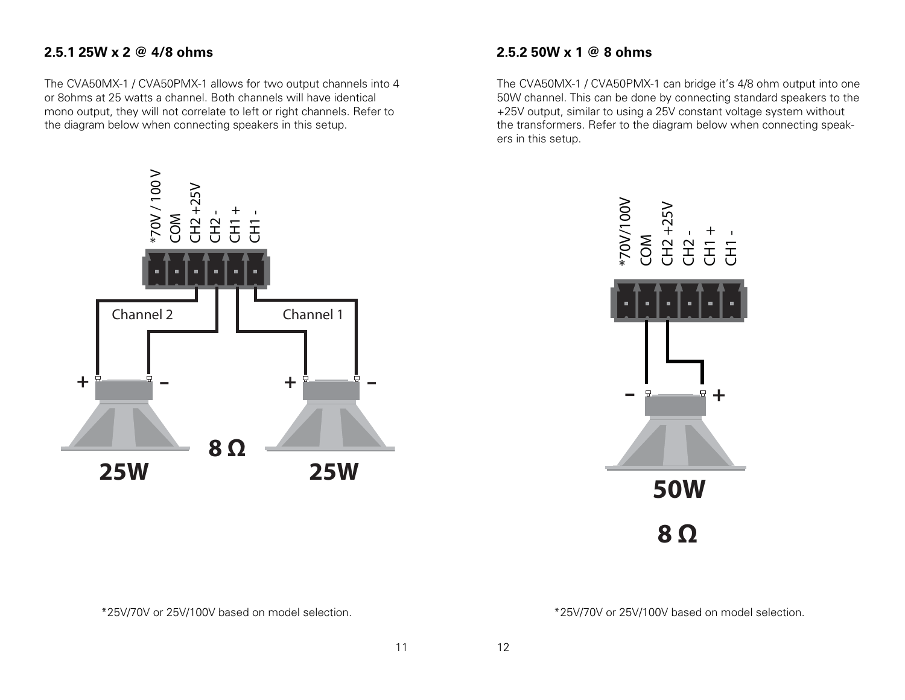### **2.5.1 25W x 2 @ 4/8 ohms**

The CVA50MX-1 / CVA50PMX-1 allows for two output channels into 4 or 8ohms at 25 watts a channel. Both channels will have identical mono output, they will not correlate to left or right channels. Refer to the diagram below when connecting speakers in this setup.



The CVA50MX-1 / CVA50PMX-1 can bridge it's 4/8 ohm output into one 50W channel. This can be done by connecting standard speakers to the +25V output, similar to using a 25V constant voltage system without the transformers. Refer to the diagram below when connecting speakers in this setup.





#### \*25V/70V or 25V/100V based on model selection.

\*25V/70V or 25V/100V based on model selection.

11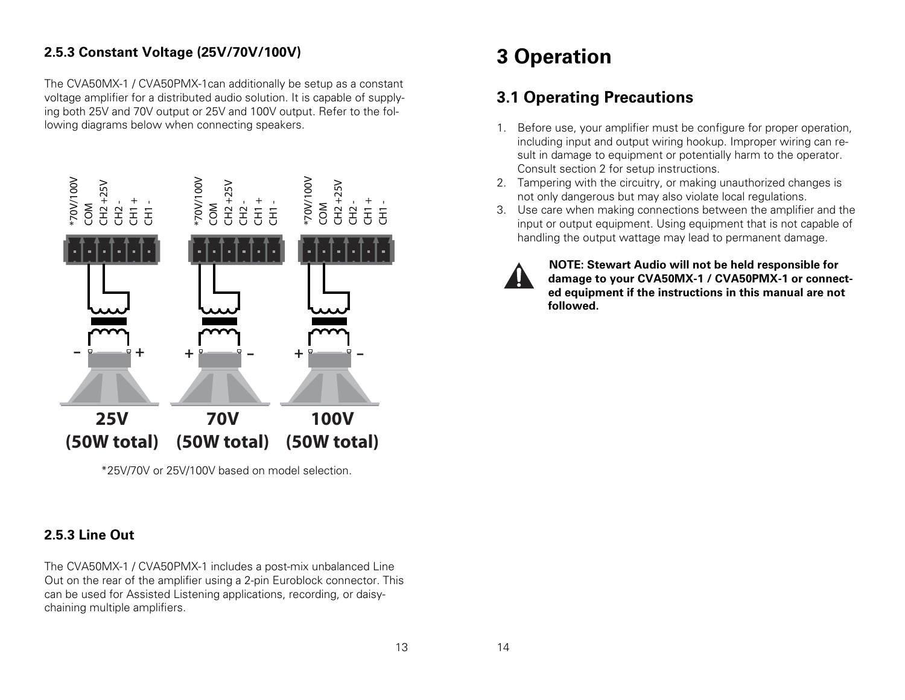## **2.5.3 Constant Voltage (25V/70V/100V)**

The CVA50MX-1 / CVA50PMX-1can additionally be setup as a constant voltage amplifier for a distributed audio solution. It is capable of supplying both 25V and 70V output or 25V and 100V output. Refer to the following diagrams below when connecting speakers.



\*25V/70V or 25V/100V based on model selection.

## **2.5.3 Line Out**

The CVA50MX-1 / CVA50PMX-1 includes a post-mix unbalanced Line Out on the rear of the amplifier using a 2-pin Euroblock connector. This can be used for Assisted Listening applications, recording, or daisychaining multiple amplifiers.

# **3 Operation**

## **3.1 Operating Precautions**

- 1. Before use, your amplifier must be configure for proper operation, including input and output wiring hookup. Improper wiring can result in damage to equipment or potentially harm to the operator. Consult section 2 for setup instructions.
- 2. Tampering with the circuitry, or making unauthorized changes is not only dangerous but may also violate local regulations.
- 3. Use care when making connections between the amplifier and the input or output equipment. Using equipment that is not capable of handling the output wattage may lead to permanent damage.



**NOTE: Stewart Audio will not be held responsible for damage to your CVA50MX-1 / CVA50PMX-1 or connected equipment if the instructions in this manual are not followed.**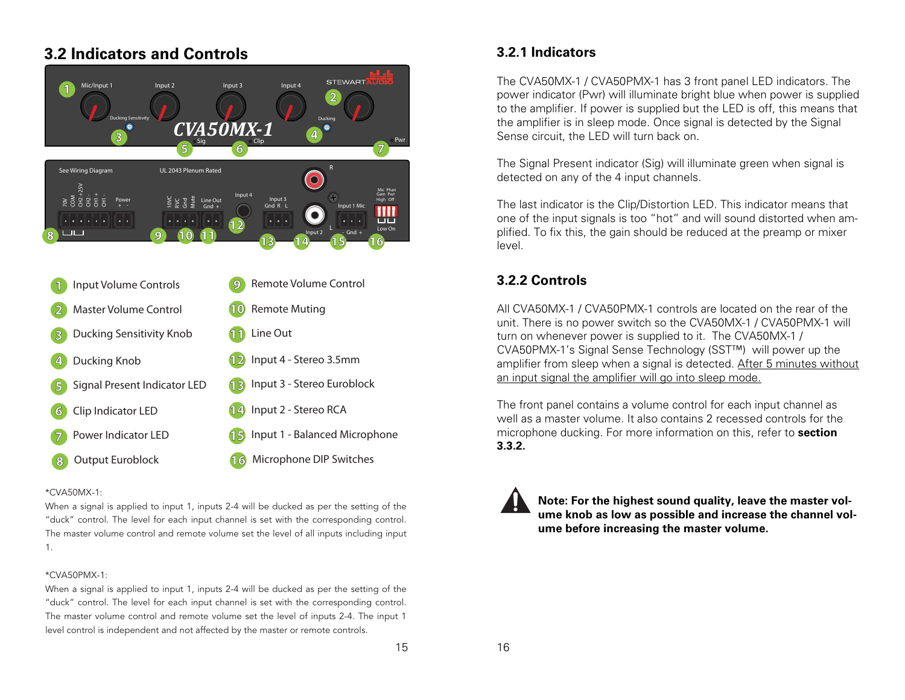## **3.2 Indicators and Controls**



| Input Volume Controls                    | Remote Volume Control<br>9          |
|------------------------------------------|-------------------------------------|
| $\mathbf{2}$                             | Remote Muting                       |
| Master Volume Control                    | 10                                  |
| Ducking Sensitivity Knob<br>$\mathbb{B}$ | Line Out                            |
| Ducking Knob                             | Input 4 - Stereo 3.5mm              |
| 4                                        | 12                                  |
| Signal Present Indicator LED             | Input 3 - Stereo Euroblock          |
| 圖                                        | $\sqrt{13}$                         |
| Clip Indicator LED<br>(б                 | 14 Input 2 - Stereo RCA             |
| Power Indicator LED                      | Input 1 - Balanced Microphone<br>15 |
| Output Euroblock                         | Microphone DIP Switches             |
| 8                                        | 16                                  |

#### \*CVA50MX-1:

When a signal is applied to input 1, inputs 2-4 will be ducked as per the setting of the "duck" control. The level for each input channel is set with the corresponding control. The master volume control and remote volume set the level of all inputs including input 1.

#### \*CVA50PMX-1:

When a signal is applied to input 1, inputs 2-4 will be ducked as per the setting of the "duck" control. The level for each input channel is set with the corresponding control. The master volume control and remote volume set the level of inputs 2-4. The input 1 level control is independent and not affected by the master or remote controls.

#### **3.2.1 Indicators**

The CVA50MX-1 / CVA50PMX-1 has 3 front panel LED indicators. The power indicator (Pwr) will illuminate bright blue when power is supplied to the amplifier. If power is supplied but the LED is off, this means that the amplifier is in sleep mode. Once signal is detected by the Signal Sense circuit, the LED will turn back on.

The Signal Present indicator (Sig) will illuminate green when signal is detected on any of the 4 input channels.

The last indicator is the Clip/Distortion LED. This indicator means that one of the input signals is too "hot" and will sound distorted when amplified. To fix this, the gain should be reduced at the preamp or mixer level.

### **3.2.2 Controls**

All CVA50MX-1 / CVA50PMX-1 controls are located on the rear of the unit. There is no power switch so the CVA50MX-1 / CVA50PMX-1 will turn on whenever power is supplied to it. The CVA50MX-1 / CVA50PMX-1's Signal Sense Technology (SST™) will power up the amplifier from sleep when a signal is detected. After 5 minutes without an input signal the amplifier will go into sleep mode.

The front panel contains a volume control for each input channel as well as a master volume. It also contains 2 recessed controls for the microphone ducking. For more information on this, refer to **section 3.3.2.** 



**Note: For the highest sound quality, leave the master volume knob as low as possible and increase the channel volume before increasing the master volume.**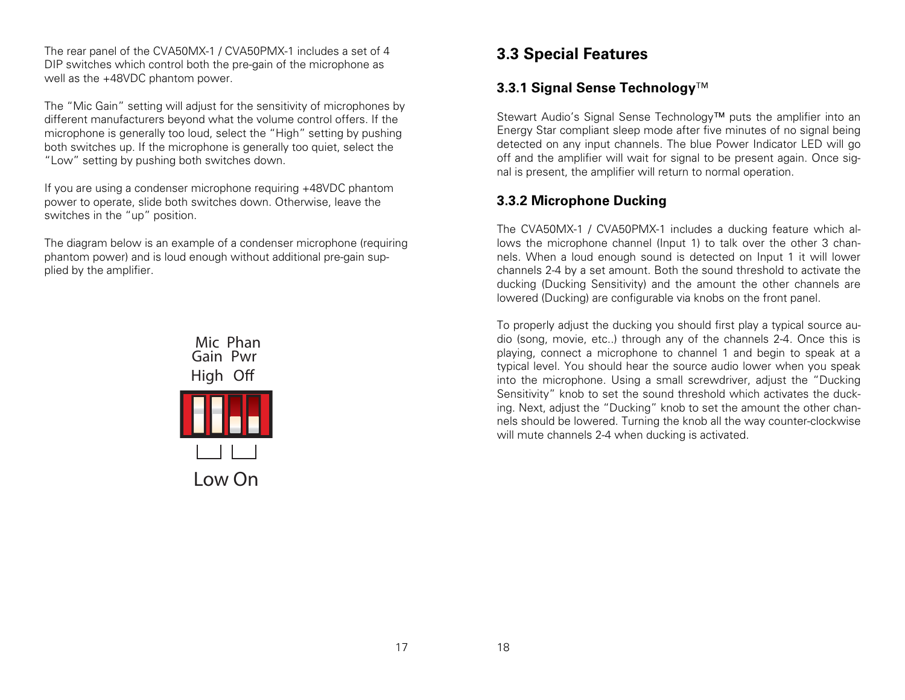The rear panel of the CVA50MX-1 / CVA50PMX-1 includes a set of 4 DIP switches which control both the pre-gain of the microphone as well as the +48VDC phantom power.

The "Mic Gain" setting will adjust for the sensitivity of microphones by different manufacturers beyond what the volume control offers. If the microphone is generally too loud, select the "High" setting by pushing both switches up. If the microphone is generally too quiet, select the "Low" setting by pushing both switches down.

If you are using a condenser microphone requiring +48VDC phantom power to operate, slide both switches down. Otherwise, leave the switches in the "up" position.

The diagram below is an example of a condenser microphone (requiring phantom power) and is loud enough without additional pre-gain supplied by the amplifier.



## **3.3 Special Features**

## **3.3.1 Signal Sense Technology**™

Stewart Audio's Signal Sense Technology™ puts the amplifier into an Energy Star compliant sleep mode after five minutes of no signal being detected on any input channels. The blue Power Indicator LED will go off and the amplifier will wait for signal to be present again. Once signal is present, the amplifier will return to normal operation.

## **3.3.2 Microphone Ducking**

The CVA50MX-1 / CVA50PMX-1 includes a ducking feature which allows the microphone channel (Input 1) to talk over the other 3 channels. When a loud enough sound is detected on Input 1 it will lower channels 2-4 by a set amount. Both the sound threshold to activate the ducking (Ducking Sensitivity) and the amount the other channels are lowered (Ducking) are configurable via knobs on the front panel.

To properly adjust the ducking you should first play a typical source audio (song, movie, etc..) through any of the channels 2-4. Once this is playing, connect a microphone to channel 1 and begin to speak at a typical level. You should hear the source audio lower when you speak into the microphone. Using a small screwdriver, adjust the "Ducking Sensitivity" knob to set the sound threshold which activates the ducking. Next, adjust the "Ducking" knob to set the amount the other channels should be lowered. Turning the knob all the way counter-clockwise will mute channels 2-4 when ducking is activated.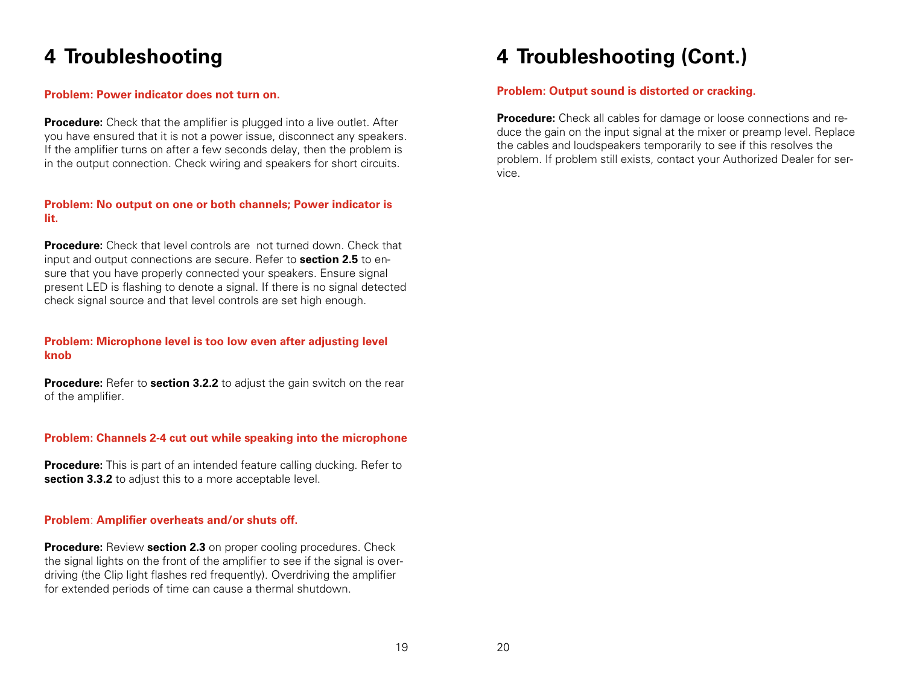# **4 Troubleshooting**

#### **Problem: Power indicator does not turn on.**

**Procedure:** Check that the amplifier is plugged into a live outlet. After you have ensured that it is not a power issue, disconnect any speakers. If the amplifier turns on after a few seconds delay, then the problem is in the output connection. Check wiring and speakers for short circuits.

#### **Problem: No output on one or both channels; Power indicator is lit.**

**Procedure:** Check that level controls are not turned down. Check that input and output connections are secure. Refer to **section 2.5** to ensure that you have properly connected your speakers. Ensure signal present LED is flashing to denote a signal. If there is no signal detected check signal source and that level controls are set high enough.

#### **Problem: Microphone level is too low even after adjusting level knob**

**Procedure:** Refer to **section 3.2.2** to adjust the gain switch on the rear of the amplifier.

#### **Problem: Channels 2-4 cut out while speaking into the microphone**

**Procedure:** This is part of an intended feature calling ducking. Refer to **section 3.3.2** to adjust this to a more acceptable level.

#### **Problem**: **Amplifier overheats and/or shuts off.**

**Procedure:** Review **section 2.3** on proper cooling procedures. Check the signal lights on the front of the amplifier to see if the signal is overdriving (the Clip light flashes red frequently). Overdriving the amplifier for extended periods of time can cause a thermal shutdown.

# **4 Troubleshooting (Cont.)**

#### **Problem: Output sound is distorted or cracking.**

**Procedure:** Check all cables for damage or loose connections and reduce the gain on the input signal at the mixer or preamp level. Replace the cables and loudspeakers temporarily to see if this resolves the problem. If problem still exists, contact your Authorized Dealer for service.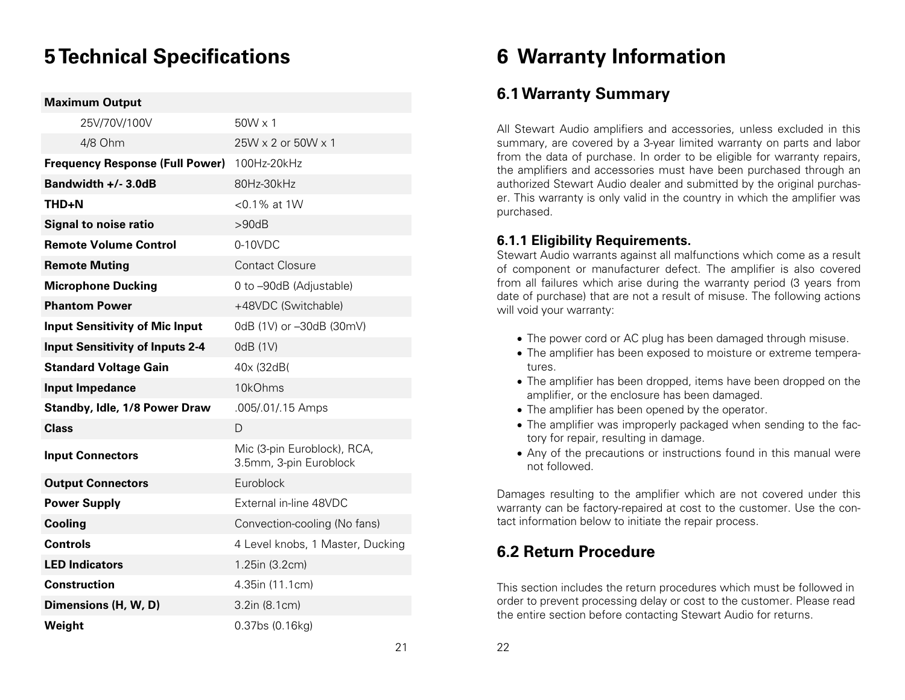# **5 Technical Specifications**

#### **Maximum Output**

| 25V/70V/100V                           | $50W \times 1$                                        |
|----------------------------------------|-------------------------------------------------------|
| 4/8 Ohm                                | $25W \times 2$ or $50W \times 1$                      |
| <b>Frequency Response (Full Power)</b> | 100Hz-20kHz                                           |
| Bandwidth +/- 3.0dB                    | 80Hz-30kHz                                            |
| THD+N                                  | <0.1% at 1W                                           |
| <b>Signal to noise ratio</b>           | >90dB                                                 |
| <b>Remote Volume Control</b>           | $0-10$ VDC                                            |
| <b>Remote Muting</b>                   | <b>Contact Closure</b>                                |
| <b>Microphone Ducking</b>              | 0 to -90dB (Adjustable)                               |
| <b>Phantom Power</b>                   | +48VDC (Switchable)                                   |
| <b>Input Sensitivity of Mic Input</b>  | 0dB (1V) or -30dB (30mV)                              |
| <b>Input Sensitivity of Inputs 2-4</b> | 0dB (1V)                                              |
| <b>Standard Voltage Gain</b>           | 40x (32dB)                                            |
| <b>Input Impedance</b>                 | 10kOhms                                               |
| <b>Standby, Idle, 1/8 Power Draw</b>   | .005/.01/.15 Amps                                     |
| <b>Class</b>                           | D                                                     |
| <b>Input Connectors</b>                | Mic (3-pin Euroblock), RCA,<br>3.5mm, 3-pin Euroblock |
| <b>Output Connectors</b>               | Euroblock                                             |
| <b>Power Supply</b>                    | External in-line 48VDC                                |
| Cooling                                | Convection-cooling (No fans)                          |
| <b>Controls</b>                        | 4 Level knobs, 1 Master, Ducking                      |
| <b>LED Indicators</b>                  | 1.25in (3.2cm)                                        |
| <b>Construction</b>                    | 4.35in (11.1cm)                                       |
| Dimensions (H, W, D)                   | 3.2in (8.1cm)                                         |
| Weight                                 | 0.37bs (0.16kg)                                       |

# **6 Warranty Information**

## **6.1 Warranty Summary**

All Stewart Audio amplifiers and accessories, unless excluded in this summary, are covered by a 3-year limited warranty on parts and labor from the data of purchase. In order to be eligible for warranty repairs, the amplifiers and accessories must have been purchased through an authorized Stewart Audio dealer and submitted by the original purchaser. This warranty is only valid in the country in which the amplifier was purchased.

#### **6.1.1 Eligibility Requirements.**

Stewart Audio warrants against all malfunctions which come as a result of component or manufacturer defect. The amplifier is also covered from all failures which arise during the warranty period (3 years from date of purchase) that are not a result of misuse. The following actions will void your warranty:

- The power cord or AC plug has been damaged through misuse.
- The amplifier has been exposed to moisture or extreme temperatures.
- The amplifier has been dropped, items have been dropped on the amplifier, or the enclosure has been damaged.
- The amplifier has been opened by the operator.
- The amplifier was improperly packaged when sending to the factory for repair, resulting in damage.
- Any of the precautions or instructions found in this manual were not followed.

Damages resulting to the amplifier which are not covered under this warranty can be factory-repaired at cost to the customer. Use the contact information below to initiate the repair process.

## **6.2 Return Procedure**

This section includes the return procedures which must be followed in order to prevent processing delay or cost to the customer. Please read the entire section before contacting Stewart Audio for returns.

21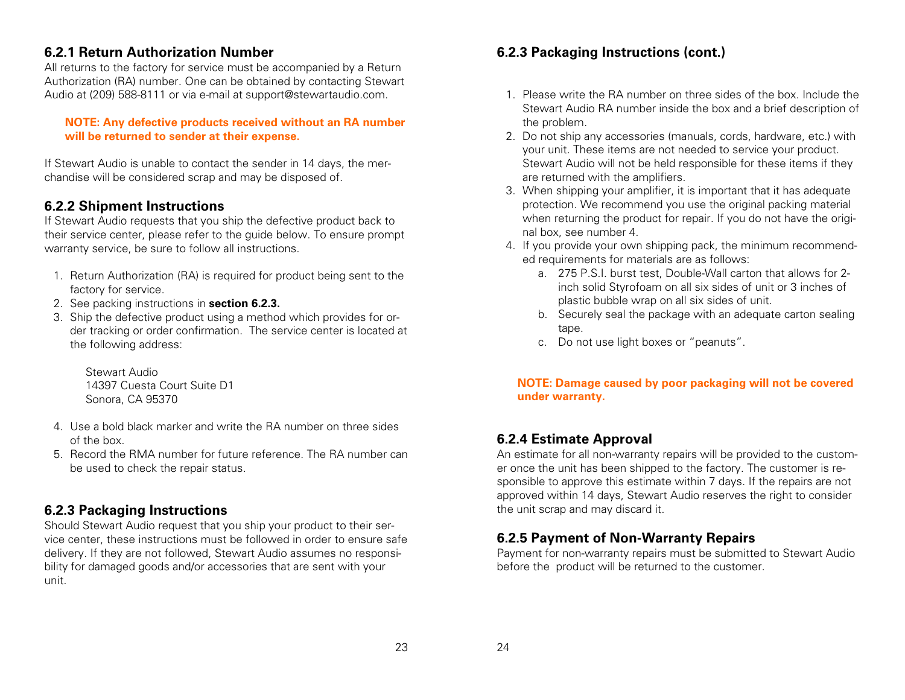#### **6.2.1 Return Authorization Number**

All returns to the factory for service must be accompanied by a Return Authorization (RA) number. One can be obtained by contacting Stewart Audio at (209) 588-8111 or via e-mail at support@stewartaudio.com.

#### **NOTE: Any defective products received without an RA number will be returned to sender at their expense.**

If Stewart Audio is unable to contact the sender in 14 days, the merchandise will be considered scrap and may be disposed of.

## **6.2.2 Shipment Instructions**

If Stewart Audio requests that you ship the defective product back to their service center, please refer to the guide below. To ensure prompt warranty service, be sure to follow all instructions.

- 1. Return Authorization (RA) is required for product being sent to the factory for service.
- 2. See packing instructions in **section 6.2.3.**
- 3. Ship the defective product using a method which provides for order tracking or order confirmation. The service center is located at the following address:

Stewart Audio 14397 Cuesta Court Suite D1 Sonora, CA 95370

- 4. Use a bold black marker and write the RA number on three sides of the box.
- 5. Record the RMA number for future reference. The RA number can be used to check the repair status.

### **6.2.3 Packaging Instructions**

Should Stewart Audio request that you ship your product to their service center, these instructions must be followed in order to ensure safe delivery. If they are not followed, Stewart Audio assumes no responsibility for damaged goods and/or accessories that are sent with your unit.

### **6.2.3 Packaging Instructions (cont.)**

- 1. Please write the RA number on three sides of the box. Include the Stewart Audio RA number inside the box and a brief description of the problem.
- 2. Do not ship any accessories (manuals, cords, hardware, etc.) with your unit. These items are not needed to service your product. Stewart Audio will not be held responsible for these items if they are returned with the amplifiers.
- 3. When shipping your amplifier, it is important that it has adequate protection. We recommend you use the original packing material when returning the product for repair. If you do not have the original box, see number 4.
- 4. If you provide your own shipping pack, the minimum recommended requirements for materials are as follows:
	- a. 275 P.S.I. burst test, Double-Wall carton that allows for 2 inch solid Styrofoam on all six sides of unit or 3 inches of plastic bubble wrap on all six sides of unit.
	- b. Securely seal the package with an adequate carton sealing tape.
	- c. Do not use light boxes or "peanuts".

#### **NOTE: Damage caused by poor packaging will not be covered under warranty.**

### **6.2.4 Estimate Approval**

An estimate for all non-warranty repairs will be provided to the customer once the unit has been shipped to the factory. The customer is responsible to approve this estimate within 7 days. If the repairs are not approved within 14 days, Stewart Audio reserves the right to consider the unit scrap and may discard it.

## **6.2.5 Payment of Non-Warranty Repairs**

Payment for non-warranty repairs must be submitted to Stewart Audio before the product will be returned to the customer.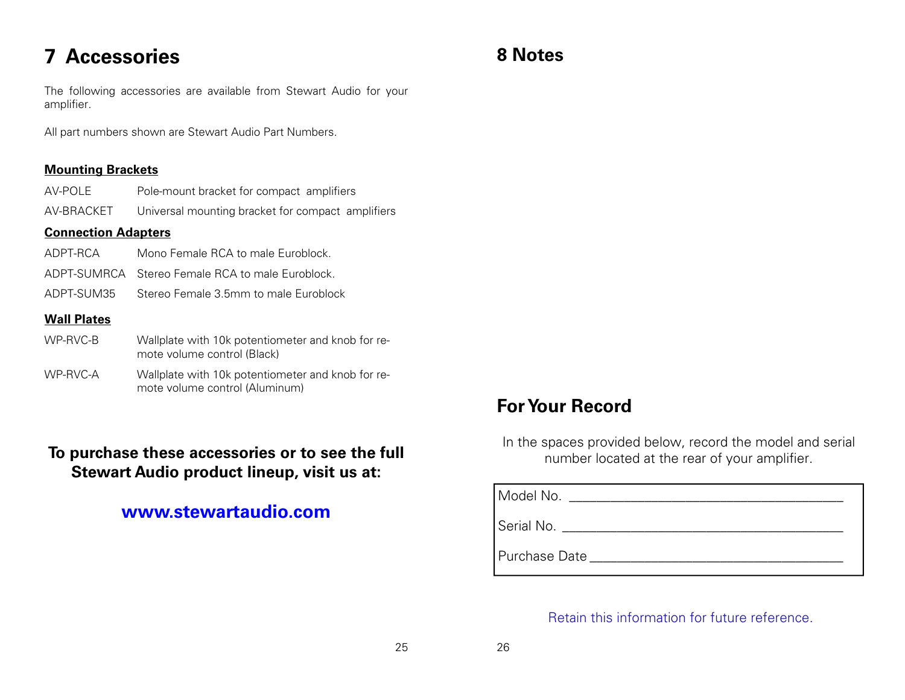# **7 Accessories**

The following accessories are available from Stewart Audio for your amplifier.

All part numbers shown are Stewart Audio Part Numbers.

#### **Mounting Brackets**

AV-POLE Pole-mount bracket for compact amplifiers

AV-BRACKET Universal mounting bracket for compact amplifiers

#### **Connection Adapters**

- ADPT-RCA Mono Female RCA to male Euroblock.
- ADPT-SUMRCA Stereo Female RCA to male Euroblock.
- ADPT-SUM35 Stereo Female 3.5mm to male Euroblock

#### **Wall Plates**

- WP-RVC-B Wallplate with 10k potentiometer and knob for remote volume control (Black)
- WP-RVC-A Wallplate with 10k potentiometer and knob for remote volume control (Aluminum)

## **To purchase these accessories or to see the full Stewart Audio product lineup, visit us at:**

## **www.stewartaudio.com**

# **8 Notes**

# **For Your Record**

In the spaces provided below, record the model and serial number located at the rear of your amplifier.

Model No. \_\_\_\_\_\_\_\_\_\_\_\_\_\_\_\_\_\_\_\_\_\_\_\_\_\_\_\_\_\_\_\_\_\_\_\_\_\_\_\_

Serial No. 2008 2009 2009 2009 2009 2009 2010 2020 2031 2040 2051 2052 2053 2054 2056 2057 2058 2059 2059 205

Purchase Date \_\_\_\_\_\_\_\_\_\_\_\_\_\_\_\_\_\_\_\_\_\_\_\_\_\_\_\_\_\_\_\_\_\_\_\_\_

Retain this information for future reference.